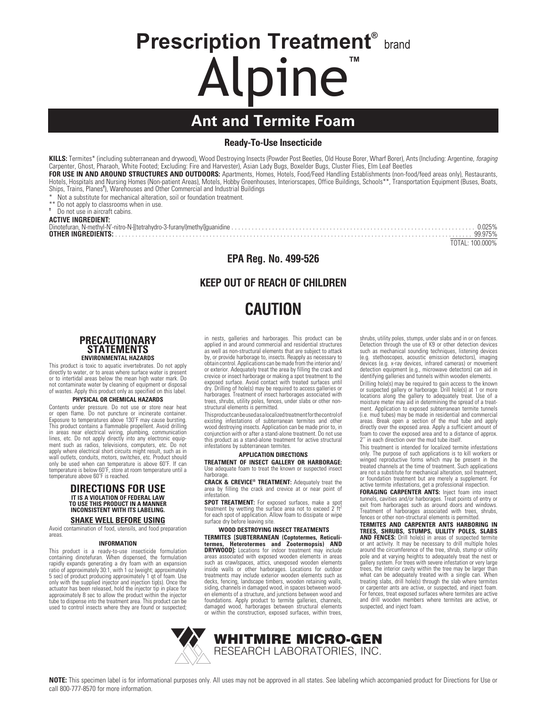# **Prescription Treatment® brand** Alpine**™**

# **Ant and Termite Foam**

### **Ready-To-Use Insecticide**

**KILLS:** Termites\* (including subterranean and drywood), Wood Destroying Insects (Powder Post Beetles, Old House Borer, Wharf Borer), Ants (Including: Argentine, *foraging* Carpenter, Ghost, Pharaoh, White Footed; Excluding: Fire and Harvester), Asian Lady Bugs, Boxelder Bugs, Cluster Flies, Elm Leaf Beetles

**FOR USE IN AND AROUND STRUCTURES AND OUTDOORS:** Apartments, Homes, Hotels, Food/Feed Handling Establishments (non-food/feed areas only), Restaurants, Hotels, Hospitals and Nursing Homes (Non-patient Areas), Motels, Hobby Greenhouses, Interiorscapes, Office Buildings, Schools\*\*, Transportation Equipment (Buses, Boats, Ships, Trains, Planes**†** ), Warehouses and Other Commercial and Industrial Buildings

Not a substitute for mechanical alteration, soil or foundation treatment.

\*\* Do not apply to classrooms when in use.

**†** Do not use in aircraft cabins.

**ACTIVE INGREDIENT:**

Dinotefuran, N-methyl-N'-nitro-N-[(tetrahydro-3-furanyl)methyl]guanidine ........................................................................ 0.025% **OTHER INGREDIENTS:** .......................................................................................................... 99.975%

TOTAL: 100.000%

## **EPA Reg. No. 499-526**

## **KEEP OUT OF REACH OF CHILDREN**

# **CAUTION**

#### **PRECAUTIONARY STATEMENTS ENVIRONMENTAL HAZARDS**

This product is toxic to aquatic invertebrates. Do not apply directly to water, or to areas where surface water is present or to intertidal areas below the mean high water mark. Do not contaminate water by cleaning of equipment or disposal of wastes. Apply this product only as specified on this label.

#### **PHYSICAL OR CHEMICAL HAZARDS**

Contents under pressure. Do not use or store near heat or open flame. Do not puncture or incinerate container. Exposure to temperatures above 130˚F may cause bursting. This product contains a flammable propellent. Avoid drilling in areas near electrical wiring, plumbing, communication lines, etc. Do not apply directly into any electronic equipment such as radios, televisions, computers, etc. Do not apply where electrical short circuits might result, such as in wall outlets, conduits, motors, switches, etc. Product should only be used when can temperature is above 60˚F. If can temperature is below 60˚F, store at room temperature until a temperature above 60˚F is reached.

#### **DIRECTIONS FOR USE IT IS A VIOLATION OF FEDERAL LAW TO USE THIS PRODUCT IN A MANNER INCONSISTENT WITH ITS LABELING.**

**SHAKE WELL BEFORE USING** Avoid contamination of food, utensils, and food preparation

areas.

#### **INFORMATION**

This product is a ready-to-use insecticide formulation containing dinotefuran. When dispensed, the formulation rapidly expands generating a dry foam with an expansion<br>ratio of approximately 30:1, with 1 oz (weight; approximately)<br>5 sec) of product producing approximately 1 qt of foam. Use<br>only with the supplied injector and injecti actuator has been released, hold the injector tip in place for approximately 8 sec to allow the product within the injector tube to dispense into the treatment area. This product can be used to control insects where they are found or suspected; in nests, galleries and harborages. This product can be applied in and around commercial and residential structures as well as non-structural elements that are subject to attack by, or provide harborage to, insects. Reapply as necessary to obtain control. Applications can be made from the interior and/ or exterior. Adequately treat the area by filling the crack and crevice or insect harborage or making a spot treatment to the exposed surface. Avoid contact with treated surfaces until dry. Drilling of hole(s) may be required to access galleries or harborages. Treatment of insect harborages associated with trees, shrubs, utility poles, fences, under slabs or other nonstructural elements is permitted.

This product can be used as a localized treatment for the control of existing infestations of subterranean termites and other wood destroying insects. Application can be made prior to, in conjunction with or after a stand-alone treatment. Do not use this product as a stand-alone treatment for active structural infestations by subterranean termites.

#### **APPLICATION DIRECTIONS**

**TREATMENT OF INSECT GALLERY OR HARBORAGE:** Use adequate foam to treat the known or suspected insect harborage.

**CRACK & CREVICE® TREATMENT:** Adequately treat the area by filling the crack and crevice at or near point of infestation.

**SPOT TREATMENT:** For exposed surfaces, make a spot treatment by wetting the surface area not to exceed 2 ft<sup>2</sup><br>for each spot of application. Allow foam to dissipate or wipe surface dry before leaving site.

 **WOOD DESTROYING INSECT TREATMENTS TERMITES [SUBTERRANEAN (Coptotermes, Reticuli-**

**termes, Heterotermes and Zootermopsis) AND DRYWOOD]:** Locations for indoor treatment may include areas associated with exposed wooden elements in areas such as crawlspaces, attics, unexposed wooden elements inside walls or other harborages. Locations for outdoor treatments may include exterior wooden elements such as decks, fencing, landscape timbers, wooden retaining walls, siding, channels in damaged wood, in spaces between wooden elements of a structure, and junctions between wood and foundations. Apply product to termite galleries, channels, damaged wood, harborages between structural elements or within the construction, exposed surfaces, within trees,

shrubs, utility poles, stumps, under slabs and in or on fences. Detection through the use of K9 or other detection devices such as mechanical sounding techniques, listening devices (e.g. stethoscopes, acoustic emission detectors), imaging devices (e.g. x-ray devices, infrared cameras) or movement detection equipment (e.g., microwave detectors) can aid in identifying galleries and tunnels within wooden elements.

Drilling hole(s) may be required to gain access to the known or suspected gallery or harborage. Drill hole(s) at 1 or more locations along the gallery to adequately treat. Use of a moisture meter may aid in determining the spread of a treat-ment. Application to exposed subterranean termite tunnels (i.e. mud tubes) may be made in residential and commercial areas. Break open a section of the mud tube and apply directly over the exposed area. Apply a sufficient amount of foam to cover the exposed area and to a distance of approx. 2'' in each direction over the mud tube itself.

This treatment is intended for localized termite infestations only. The purpose of such applications is to kill workers or winged reproductive forms which may be present in the treated channels at the time of treatment. Such applications are not a substitute for mechanical alteration, soil treatment, or foundation treatment but are merely a supplement. For active termite infestations, get a professional inspection.

**FORAGING CARPENTER ANTS:** Inject foam into insect tunnels, cavities and/or harborages. Treat points of entry or exit from harborages such as around doors and windows. Treatment of harborages associated with trees, shrubs, fences or other non-structural elements is permitted.

**TERMITES AND CARPENTER ANTS HARBORING IN TREES, SHRUBS, STUMPS, ULILITY POLES, SLABS AND FENCES:** Drill hole(s) in areas of suspected termite or ant activity. It may be necessary to drill multiple holes around the circumference of the tree, shrub, stump or utility pole and at varying heights to adequately treat the nest of gallery system. For trees with severe infestation or very large trees, the interior cavity within the tree may be larger than what can be adequately treated with a single can. When treating slabs, drill hole(s) through the slab where termites or carpenter ants are active, or suspected, and inject foam. For fences, treat exposed surfaces where termites are active and drill wooden members where termites are active, or suspected, and inject foam.